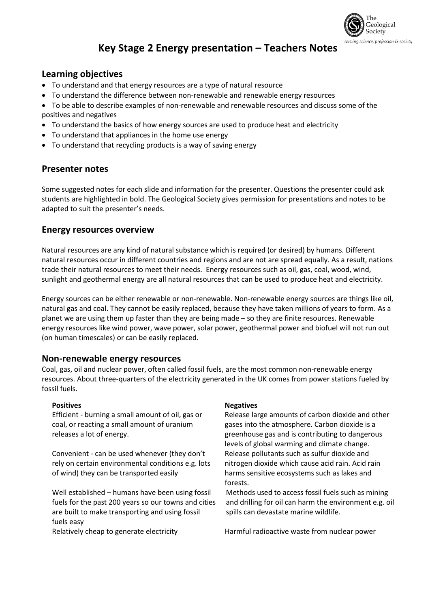

# **Key Stage 2 Energy presentation – Teachers Notes**

#### **Learning objectives**

- To understand and that energy resources are a type of natural resource
- To understand the difference between non-renewable and renewable energy resources
- To be able to describe examples of non-renewable and renewable resources and discuss some of the positives and negatives
- To understand the basics of how energy sources are used to produce heat and electricity
- To understand that appliances in the home use energy
- To understand that recycling products is a way of saving energy

#### **Presenter notes**

Some suggested notes for each slide and information for the presenter. Questions the presenter could ask students are highlighted in bold. The Geological Society gives permission for presentations and notes to be adapted to suit the presenter's needs.

#### **Energy resources overview**

Natural resources are any kind of natural substance which is required (or desired) by humans. Different natural resources occur in different countries and regions and are not are spread equally. As a result, nations trade their natural resources to meet their needs. Energy resources such as oil, gas, coal, wood, wind, sunlight and geothermal energy are all natural resources that can be used to produce heat and electricity.

Energy sources can be either renewable or non-renewable. Non-renewable energy sources are things like oil, natural gas and coal. They cannot be easily replaced, because they have taken millions of years to form. As a planet we are using them up faster than they are being made – so they are finite resources. Renewable energy resources like wind power, wave power, solar power, geothermal power and biofuel will not run out (on human timescales) or can be easily replaced.

#### **Non-renewable energy resources**

Coal, gas, oil and nuclear power, often called fossil fuels, are the most common non-renewable energy resources. About three-quarters of the electricity generated in the UK comes from power stations fueled by fossil fuels.

Efficient - burning a small amount of oil, gas or coal, or reacting a small amount of uranium releases a lot of energy.

Convenient - can be used whenever (they don't rely on certain environmental conditions e.g. lots of wind) they can be transported easily

Well established – humans have been using fossil fuels for the past 200 years so our towns and cities are built to make transporting and using fossil fuels easy

#### **Positives Negatives Negatives**

Release large amounts of carbon dioxide and other gases into the atmosphere. Carbon dioxide is a greenhouse gas and is contributing to dangerous levels of global warming and climate change. Release pollutants such as sulfur dioxide and nitrogen dioxide which cause acid rain. Acid rain harms sensitive ecosystems such as lakes and forests.

Methods used to access fossil fuels such as mining and drilling for oil can harm the environment e.g. oil spills can devastate marine wildlife.

Relatively cheap to generate electricity Harmful radioactive waste from nuclear power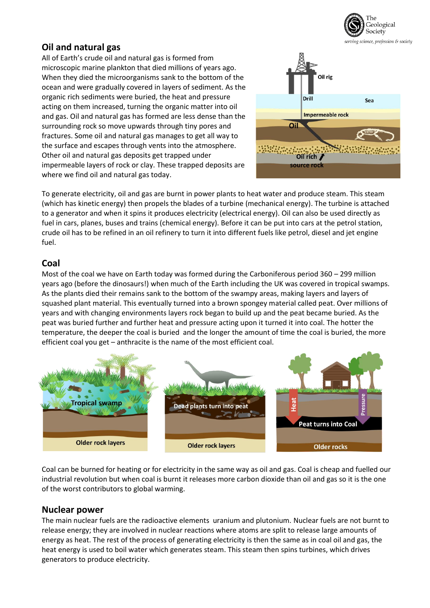

## **Oil and natural gas**

All of Earth's crude oil and natural gas is formed from microscopic marine plankton that died millions of years ago. When they died the microorganisms sank to the bottom of the ocean and were gradually covered in layers of sediment. As the organic rich sediments were buried, the heat and pressure acting on them increased, turning the organic matter into oil and gas. Oil and natural gas has formed are less dense than the surrounding rock so move upwards through tiny pores and fractures. Some oil and natural gas manages to get all way to the surface and escapes through vents into the atmosphere. Other oil and natural gas deposits get trapped under impermeable layers of rock or clay. These trapped deposits are where we find oil and natural gas today.



To generate electricity, oil and gas are burnt in power plants to heat water and produce steam. This steam (which has kinetic energy) then propels the blades of a turbine (mechanical energy). The turbine is attached to a generator and when it spins it produces electricity (electrical energy). Oil can also be used directly as fuel in cars, planes, buses and trains (chemical energy). Before it can be put into cars at the petrol station, crude oil has to be refined in an oil refinery to turn it into different fuels like petrol, diesel and jet engine fuel.

#### **Coal**

Most of the coal we have on Earth today was formed during the Carboniferous period 360 – 299 million years ago (before the dinosaurs!) when much of the Earth including the UK was covered in tropical swamps. As the plants died their remains sank to the bottom of the swampy areas, making layers and layers of squashed plant material. This eventually turned into a brown spongey material called peat. Over millions of years and with changing environments layers rock began to build up and the peat became buried. As the peat was buried further and further heat and pressure acting upon it turned it into coal. The hotter the temperature, the deeper the coal is buried and the longer the amount of time the coal is buried, the more efficient coal you get – anthracite is the name of the most efficient coal.



Coal can be burned for heating or for electricity in the same way as oil and gas. Coal is cheap and fuelled our industrial revolution but when coal is burnt it releases more carbon dioxide than oil and gas so it is the one of the worst contributors to global warming.

#### **Nuclear power**

The main nuclear fuels are the radioactive elements uranium and plutonium. Nuclear fuels are not burnt to release energy; they are involved in nuclear reactions where atoms are split to release large amounts of energy as heat. The rest of the process of generating electricity is then the same as in coal oil and gas, the heat energy is used to boil water which generates steam. This steam then spins turbines, which drives generators to produce electricity.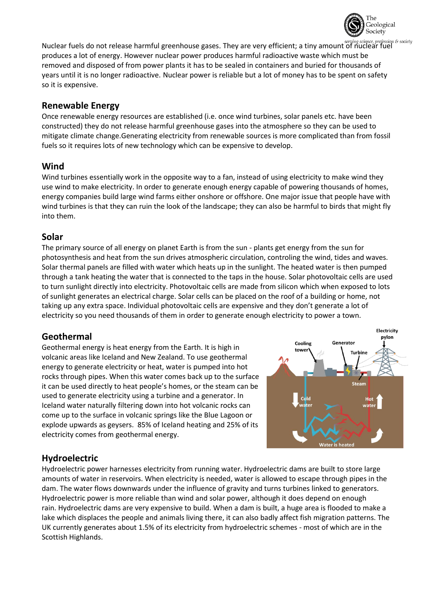

Nuclear fuels do not release harmful greenhouse gases. They are very efficient; a tiny amount of nuclear fuel produces a lot of energy. However nuclear power produces harmful radioactive waste which must be removed and disposed of from power plants it has to be sealed in containers and buried for thousands of years until it is no longer radioactive. Nuclear power is reliable but a lot of money has to be spent on safety so it is expensive.

### **Renewable Energy**

Once renewable energy resources are established (i.e. once wind turbines, solar panels etc. have been constructed) they do not release harmful greenhouse gases into the atmosphere so they can be used to mitigate climate change.Generating electricity from renewable sources is more complicated than from fossil fuels so it requires lots of new technology which can be expensive to develop.

## **Wind**

Wind turbines essentially work in the opposite way to a fan, instead of using electricity to make wind they use wind to make electricity. In order to generate enough energy capable of powering thousands of homes, energy companies build large wind farms either onshore or offshore. One major issue that people have with wind turbines is that they can ruin the look of the landscape; they can also be harmful to birds that might fly into them.

## **Solar**

The primary source of all energy on planet Earth is from the sun - plants get energy from the sun for photosynthesis and heat from the sun drives atmospheric circulation, controling the wind, tides and waves. Solar thermal panels are filled with water which heats up in the sunlight. The heated water is then pumped through a tank heating the water that is connected to the taps in the house. Solar photovoltaic cells are used to turn sunlight directly into electricity. Photovoltaic cells are made from silicon which when exposed to lots of sunlight generates an electrical charge. Solar cells can be placed on the roof of a building or home, not taking up any extra space. Individual photovoltaic cells are expensive and they don't generate a lot of electricity so you need thousands of them in order to generate enough electricity to power a town.

## **Geothermal**

Geothermal energy is heat energy from the Earth. It is high in volcanic areas like Iceland and New Zealand. To use geothermal energy to generate electricity or heat, water is pumped into hot rocks through pipes. When this water comes back up to the surface it can be used directly to heat people's homes, or the steam can be used to generate electricity using a turbine and a generator. In Iceland water naturally filtering down into hot volcanic rocks can come up to the surface in volcanic springs like the Blue Lagoon or explode upwards as geysers. 85% of Iceland heating and 25% of its electricity comes from geothermal energy.



## **Hydroelectric**

Hydroelectric power harnesses electricity from running water. Hydroelectric dams are built to store large amounts of water in reservoirs. When electricity is needed, water is allowed to escape through pipes in the dam. The water flows downwards under the influence of gravity and turns turbines linked to generators. Hydroelectric power is more reliable than wind and solar power, although it does depend on enough rain. Hydroelectric dams are very expensive to build. When a dam is built, a huge area is flooded to make a lake which displaces the people and animals living there, it can also badly affect fish migration patterns. The UK currently generates about 1.5% of its electricity from hydroelectric schemes - most of which are in the Scottish Highlands.